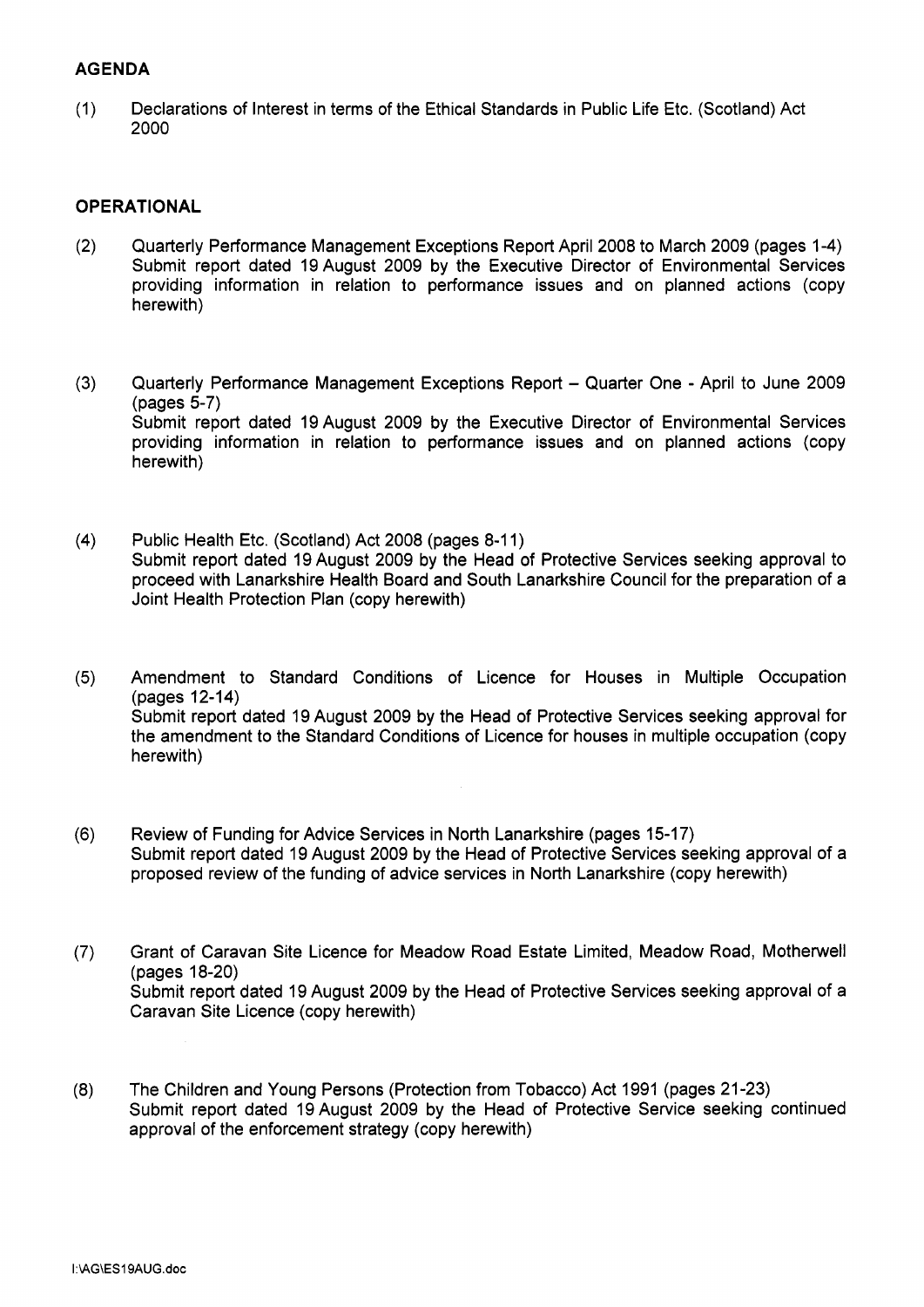## **AGENDA**

(1) Declarations of Interest in terms of the Ethical Standards in Public Life Etc. (Scotland) Act 2000

## **OPERATIONAL**

- (2) [Quarterly Performance Management Exceptions Report April 2008 to March 2009 \(pages 1-4\)](http://mars.northlan.gov.uk/xpedio/groups/public/documents/report/064137.pdf)  Submit report dated 19 August 2009 by the Executive Director of Environmental Services providing information in relation to performance issues and on planned actions (copy herewith)
- **(3)** [Quarterly Performance Management Exceptions Report Quarter One April to June 2009](http://mars.northlan.gov.uk/xpedio/groups/public/documents/report/064138.pdf)  (pages 5-7) Submit report dated 19 August 2009 by the Executive Director of Environmental Services providing information in relation to performance issues and on planned actions (copy herewith)
- (4) Public Health Etc. (Scotland) Act 2008 (pages 8-1 1) Submit report dated 19 August 2009 by the Head of Protective Services seeking approval to proceed with Lanarkshire Health Board and South Lanarkshire Council for the preparation of a Joint Health Protection Plan (copy herewith)
- (5) [Amendment to Standard Conditions of Licence for Houses in Multiple Occupation](http://mars.northlan.gov.uk/xpedio/groups/public/documents/report/064140.pdf)  (pages 12-14) Submit report dated 19 August 2009 by the Head of Protective Services seeking approval for the amendment to the Standard Conditions of Licence for houses in multiple occupation (copy herewith)
- (6) Review of Funding for Advice Services in North Lanarkshire (pages 15-17) [Submit report dated 19 August 2009 by the Head of Protective Services seeking approval of a](http://mars.northlan.gov.uk/xpedio/groups/public/documents/report/064141.pdf)  proposed review of the funding of advice services in North Lanarkshire (copy herewith)
- (7) [Grant of Caravan Site Licence for Meadow Road Estate Limited, Meadow Road, Motherwell](http://mars.northlan.gov.uk/xpedio/groups/public/documents/report/064142.pdf)  (pages 18-20) Submit report dated 19 August 2009 by the Head of Protective Services seeking approval of a Caravan Site Licence (copy herewith)
- (8) [The Children and Young Persons \(Protection from Tobacco\) Act 1991 \(pages 21-23\)](http://mars.northlan.gov.uk/xpedio/groups/public/documents/report/064143.pdf)  Submit report dated 19August 2009 by the Head of Protective Service seeking continued approval of the enforcement strategy (copy herewith)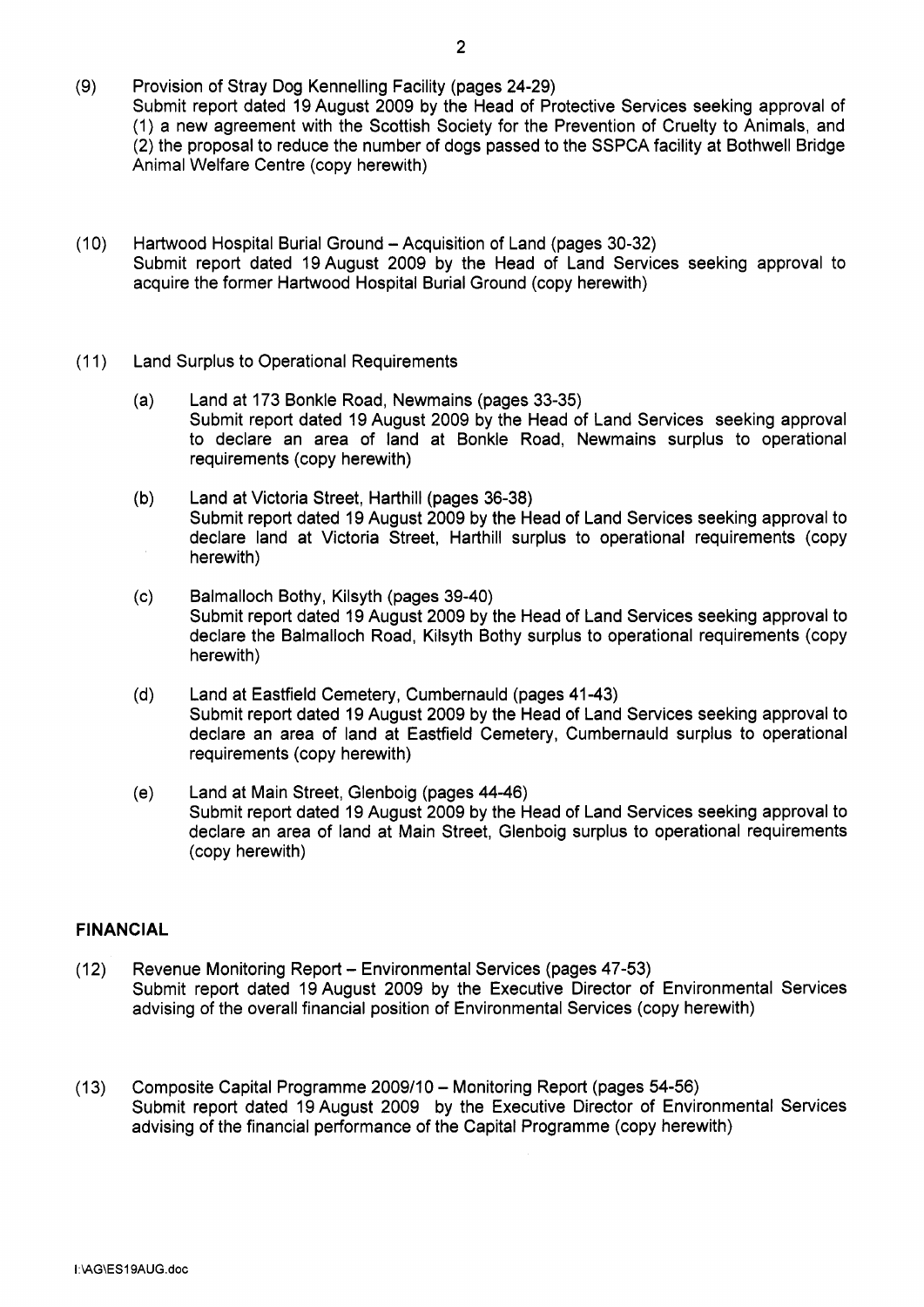- $(9)$ Provision of Stray Dog Kennelling Facility (pages 24-29) Submit report dated 19 August 2009 by the Head of Protective Services seeking approval of (1) a new agreement with the Scottish Society for the Prevention of Cruelty to Animals, and [\(2\) the proposal to reduce the number of dogs passed to the SSPCA facility at Bothwell Bridge](http://mars.northlan.gov.uk/xpedio/groups/public/documents/report/064144.pdf)  Animal Welfare Centre (copy herewith)
- $(10)$ Hartwood Hospital Burial Ground - Acquisition of Land (pages 30-32) [Submit report dated 19August 2009 by the Head of Land Services seeking approval to](http://mars.northlan.gov.uk/xpedio/groups/public/documents/report/064145.pdf)  acquire the former Hartwood Hospital Burial Ground (copy herewith)
- $(11)$ Land Surplus to Operational Requirements
	- Land at 173 Bonkle Road, Newmains (pages 33-35)  $(a)$ Submit report dated 19 August 2009 by the Head of Land Services seeking approval [to declare an area of land at Bonkle Road, Newmains surplus to operational](http://mars.northlan.gov.uk/xpedio/groups/public/documents/report/064146.pdf)  requirements (copy herewith)
	- Land at Victoria Street, Harthill (pages 36-38)  $(b)$ Submit report dated 19 August 2009 by the Head of Land Services seeking approval to [declare land at Victoria Street, Harthill surplus to operational requirements \(copy](http://mars.northlan.gov.uk/xpedio/groups/public/documents/report/064147.pdf)  herewith)
	- $(c)$ Balmalloch Bothy, Kilsyth (pages 39-40) Submit report dated 19 August 2009 by the Head of Land Services seeking approval to [declare the Balmalloch Road, Kilsyth Bothy surplus to operational requirements \(copy](http://mars.northlan.gov.uk/xpedio/groups/public/documents/report/064148.pdf)  herewith)
	- $(d)$ Land at Easffield Cemetery, Cumbernauld (pages 41 -43) Submit report dated 19 August 2009 by the Head of Land Services seeking approval to [declare an area of land at Easffield Cemetery, Cumbernauld surplus to operational](http://mars.northlan.gov.uk/xpedio/groups/public/documents/report/064162.pdf)  requirements (copy herewith)
	- Land at Main Street, Glenboig (pages 44-46)  $(e)$ Submit report dated 19 August 2009 by the Head of Land Services seeking approval to [declare an area of land at Main Street, Glenboig surplus to operational requirements](http://mars.northlan.gov.uk/xpedio/groups/public/documents/report/064150.pdf)  (copy herewith)

## **FINANCIAL**

- (12) Revenue Monitoring Report Environmental Services (pages 47-53) Submit report dated 19 August 2009 by the Executive Director of Environmental Services advising of the overall financial position of Environmental Services (copy herewith)
- (1 3) [Composite Capital Programme 2009/10 Monitoring Report \(pages 54-56\)](http://mars.northlan.gov.uk/xpedio/groups/public/documents/report/064152.pdf)  Submit report dated 19 August 2009 by the Executive Director of Environmental Services advising of the financial performance of the Capital Programme (copy herewith)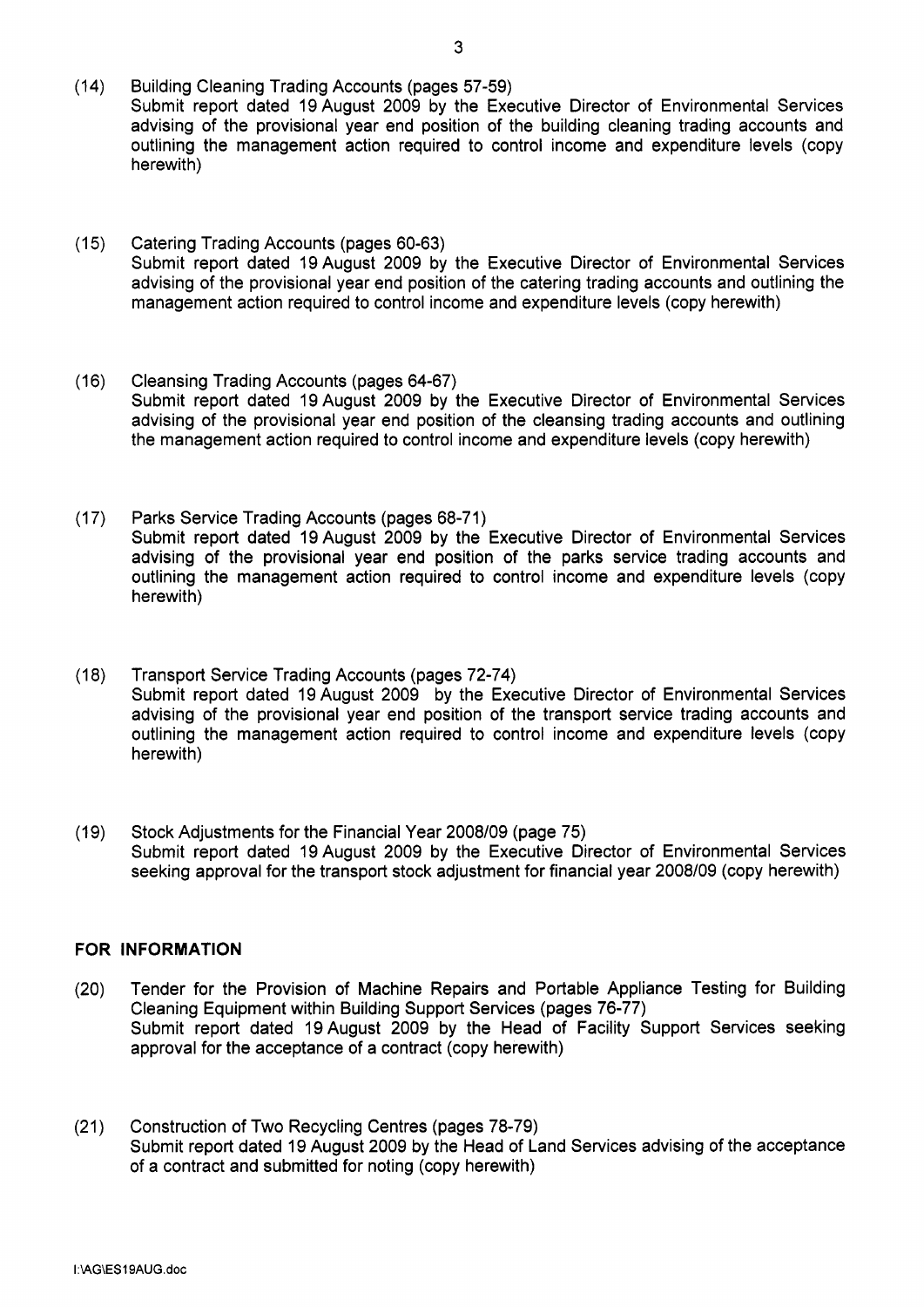- Submit report dated 19 August 2009 by the Executive Director of Environmental Services [advising of the provisional year end position of the building cleaning trading accounts and](http://mars.northlan.gov.uk/xpedio/groups/public/documents/report/064153.pdf)  outlining the management action required to control income and expenditure levels (copy herewith)
- (1 5) Catering Trading Accounts (pages 60-63) [Submit report dated 19 August 2009 by the Executive Director of Environmental Services](http://mars.northlan.gov.uk/xpedio/groups/public/documents/report/064154.pdf)  advising of the provisional year end position of the catering trading accounts and outlining the management action required to control income and expenditure levels (copy herewith)
- (1 6) Cleansing Trading Accounts (pages 64-67) Submit report dated 19 August 2009 by the Executive Director of Environmental Services [advising of the provisional year end position of the cleansing trading accounts and outlining](http://mars.northlan.gov.uk/xpedio/groups/public/documents/report/064155.pdf)  the management action required to control income and expenditure levels (copy herewith)
- (17) Parks Service Trading Accounts (pages 68-71) Submit report dated 19 August 2009 by the Executive Director of Environmental Services [advising of the provisional year end position of the parks service trading accounts and](http://mars.northlan.gov.uk/xpedio/groups/public/documents/report/064156.pdf)  outlining the management action required to control income and expenditure levels (copy herewith)
- (18) Transport Service Trading Accounts (pages 72-74) Submit report dated 19 August 2009 by the Executive Director of Environmental Services [advising of the provisional year end position of the transport service trading accounts and](http://mars.northlan.gov.uk/xpedio/groups/public/documents/report/064157.pdf)  outlining the management action required to control income and expenditure levels (copy herewith)
- (1 9) Stock Adjustments for the Financial Year 2008/09 (page 75) [Submit report dated 19 August 2009 by the Executive Director of Environmental Services](http://mars.northlan.gov.uk/xpedio/groups/public/documents/report/064158.pdf)  seeking approval for the transport stock adjustment for financial year 2008/09 (copy herewith)

## **FOR INFORMATION**

- (20) [Tender for the Provision of Machine Repairs and Portable Appliance Testing for Building](http://mars.northlan.gov.uk/xpedio/groups/public/documents/report/064159.pdf)  Cleaning Equipment within Building Support Services (pages 76-77) Submit report dated 19 August 2009 by the Head of Facility Support Services seeking approval for the acceptance of a contract (copy herewith)
- (21) Construction of Two Recycling Centres (pages 78-79) [Submit report dated 19 August 2009 by the Head of Land Services advising of the acceptance](http://mars.northlan.gov.uk/xpedio/groups/public/documents/report/064160.pdf)  of a contract and submitted for noting (copy herewith)